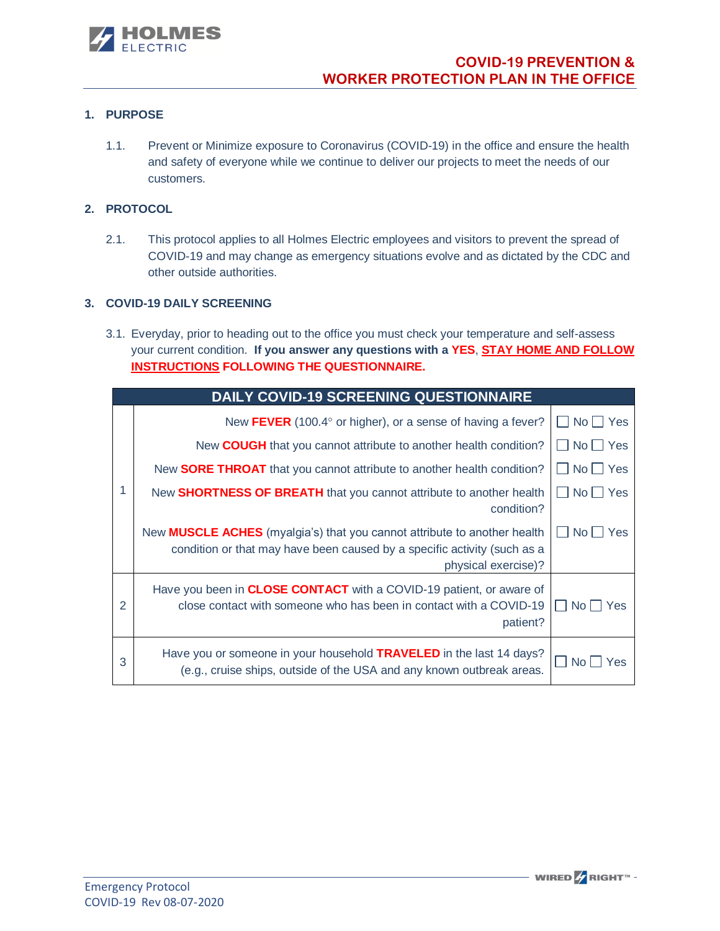

# **1. PURPOSE**

1.1. Prevent or Minimize exposure to Coronavirus (COVID-19) in the office and ensure the health and safety of everyone while we continue to deliver our projects to meet the needs of our customers.

## **2. PROTOCOL**

2.1. This protocol applies to all Holmes Electric employees and visitors to prevent the spread of COVID-19 and may change as emergency situations evolve and as dictated by the CDC and other outside authorities.

### **3. COVID-19 DAILY SCREENING**

3.1. Everyday, prior to heading out to the office you must check your temperature and self-assess your current condition. **If you answer any questions with a YES**, **STAY HOME AND FOLLOW INSTRUCTIONS FOLLOWING THE QUESTIONNAIRE.** 

| <b>DAILY COVID-19 SCREENING QUESTIONNAIRE</b> |                                                                                                                                                                                    |                               |  |  |
|-----------------------------------------------|------------------------------------------------------------------------------------------------------------------------------------------------------------------------------------|-------------------------------|--|--|
|                                               | New FEVER (100.4 $\degree$ or higher), or a sense of having a fever?                                                                                                               | $\square$ No $\square$ Yes    |  |  |
|                                               | New <b>COUGH</b> that you cannot attribute to another health condition?                                                                                                            | $\Box$ No $\Box$ Yes          |  |  |
|                                               | New <b>SORE THROAT</b> that you cannot attribute to another health condition?                                                                                                      | $\Box$ No $\Box$ Yes          |  |  |
|                                               | New SHORTNESS OF BREATH that you cannot attribute to another health<br>condition?                                                                                                  | $\Box$ No $\Box$ Yes          |  |  |
|                                               | New <b>MUSCLE ACHES</b> (myalgia's) that you cannot attribute to another health<br>condition or that may have been caused by a specific activity (such as a<br>physical exercise)? | $No \Box Yes$<br>$\mathbf{L}$ |  |  |
| $\overline{2}$                                | Have you been in <b>CLOSE CONTACT</b> with a COVID-19 patient, or aware of<br>close contact with someone who has been in contact with a COVID-19<br>patient?                       | l I Nol<br>Yes                |  |  |
| 3                                             | Have you or someone in your household <b>TRAVELED</b> in the last 14 days?<br>(e.g., cruise ships, outside of the USA and any known outbreak areas.                                | I No L<br>Yes                 |  |  |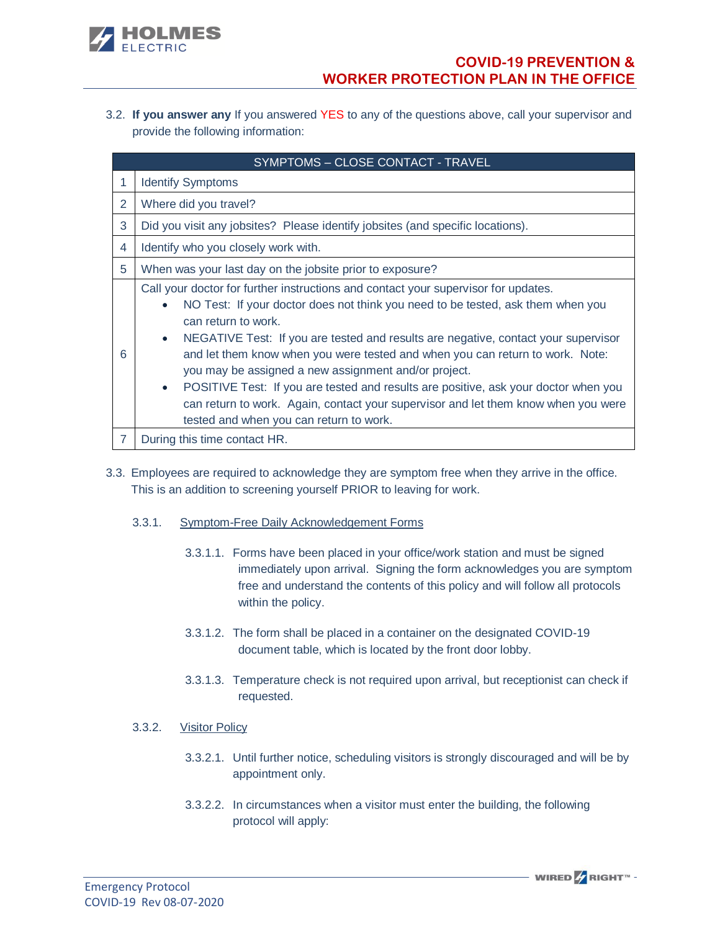

3.2. **If you answer any** If you answered YES to any of the questions above, call your supervisor and provide the following information:

|                | SYMPTOMS - CLOSE CONTACT - TRAVEL                                                                                                                                                                                                                                                                                                                                                                                                                                                                                                                                                                                                                                                          |  |  |  |  |
|----------------|--------------------------------------------------------------------------------------------------------------------------------------------------------------------------------------------------------------------------------------------------------------------------------------------------------------------------------------------------------------------------------------------------------------------------------------------------------------------------------------------------------------------------------------------------------------------------------------------------------------------------------------------------------------------------------------------|--|--|--|--|
|                | <b>Identify Symptoms</b>                                                                                                                                                                                                                                                                                                                                                                                                                                                                                                                                                                                                                                                                   |  |  |  |  |
| 2              | Where did you travel?                                                                                                                                                                                                                                                                                                                                                                                                                                                                                                                                                                                                                                                                      |  |  |  |  |
| 3              | Did you visit any jobsites? Please identify jobsites (and specific locations).                                                                                                                                                                                                                                                                                                                                                                                                                                                                                                                                                                                                             |  |  |  |  |
| 4              | Identify who you closely work with.                                                                                                                                                                                                                                                                                                                                                                                                                                                                                                                                                                                                                                                        |  |  |  |  |
| 5              | When was your last day on the jobsite prior to exposure?                                                                                                                                                                                                                                                                                                                                                                                                                                                                                                                                                                                                                                   |  |  |  |  |
| 6              | Call your doctor for further instructions and contact your supervisor for updates.<br>NO Test: If your doctor does not think you need to be tested, ask them when you<br>$\bullet$<br>can return to work.<br>NEGATIVE Test: If you are tested and results are negative, contact your supervisor<br>$\bullet$<br>and let them know when you were tested and when you can return to work. Note:<br>you may be assigned a new assignment and/or project.<br>POSITIVE Test: If you are tested and results are positive, ask your doctor when you<br>$\bullet$<br>can return to work. Again, contact your supervisor and let them know when you were<br>tested and when you can return to work. |  |  |  |  |
| $\overline{7}$ | During this time contact HR.                                                                                                                                                                                                                                                                                                                                                                                                                                                                                                                                                                                                                                                               |  |  |  |  |

- 3.3. Employees are required to acknowledge they are symptom free when they arrive in the office. This is an addition to screening yourself PRIOR to leaving for work.
	- 3.3.1. Symptom-Free Daily Acknowledgement Forms
		- 3.3.1.1. Forms have been placed in your office/work station and must be signed immediately upon arrival. Signing the form acknowledges you are symptom free and understand the contents of this policy and will follow all protocols within the policy.
		- 3.3.1.2. The form shall be placed in a container on the designated COVID-19 document table, which is located by the front door lobby.
		- 3.3.1.3. Temperature check is not required upon arrival, but receptionist can check if requested.
	- 3.3.2. Visitor Policy
		- 3.3.2.1. Until further notice, scheduling visitors is strongly discouraged and will be by appointment only.
		- 3.3.2.2. In circumstances when a visitor must enter the building, the following protocol will apply:

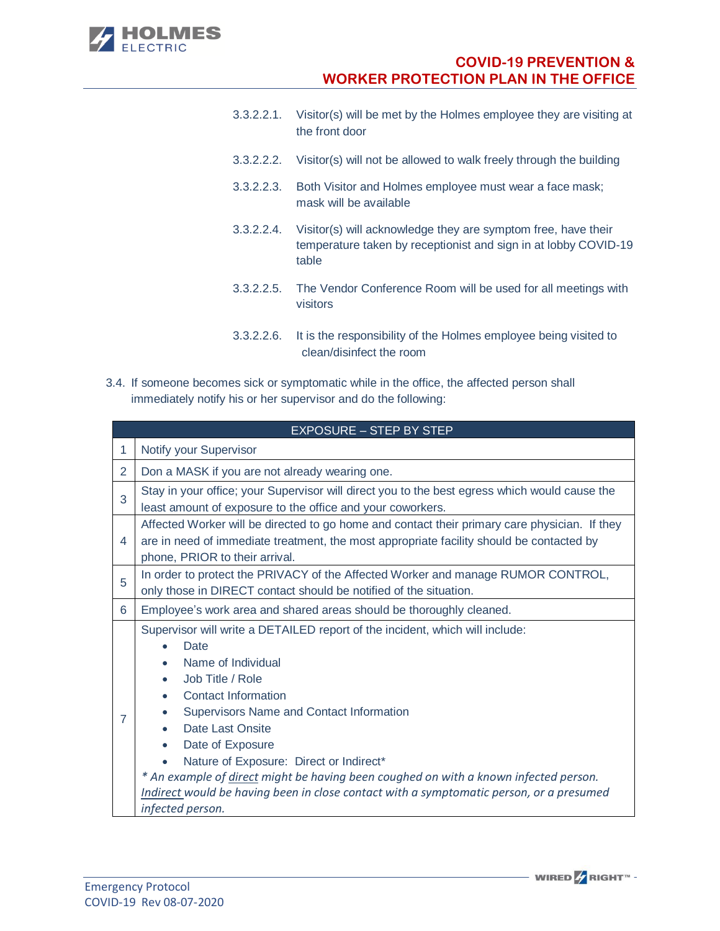

- 3.3.2.2.1. Visitor(s) will be met by the Holmes employee they are visiting at the front door
- 3.3.2.2.2. Visitor(s) will not be allowed to walk freely through the building
- 3.3.2.2.3. Both Visitor and Holmes employee must wear a face mask; mask will be available
- 3.3.2.2.4. Visitor(s) will acknowledge they are symptom free, have their temperature taken by receptionist and sign in at lobby COVID-19 table
- 3.3.2.2.5. The Vendor Conference Room will be used for all meetings with visitors
- 3.3.2.2.6. It is the responsibility of the Holmes employee being visited to clean/disinfect the room
- 3.4. If someone becomes sick or symptomatic while in the office, the affected person shall immediately notify his or her supervisor and do the following:

|   | <b>EXPOSURE - STEP BY STEP</b>                                                                                                                                                                                                                                                                                                                                                                                                                                                                            |  |  |  |  |
|---|-----------------------------------------------------------------------------------------------------------------------------------------------------------------------------------------------------------------------------------------------------------------------------------------------------------------------------------------------------------------------------------------------------------------------------------------------------------------------------------------------------------|--|--|--|--|
| 1 | Notify your Supervisor                                                                                                                                                                                                                                                                                                                                                                                                                                                                                    |  |  |  |  |
| 2 | Don a MASK if you are not already wearing one.                                                                                                                                                                                                                                                                                                                                                                                                                                                            |  |  |  |  |
| 3 | Stay in your office; your Supervisor will direct you to the best egress which would cause the<br>least amount of exposure to the office and your coworkers.                                                                                                                                                                                                                                                                                                                                               |  |  |  |  |
| 4 | Affected Worker will be directed to go home and contact their primary care physician. If they<br>are in need of immediate treatment, the most appropriate facility should be contacted by<br>phone, PRIOR to their arrival.                                                                                                                                                                                                                                                                               |  |  |  |  |
| 5 | In order to protect the PRIVACY of the Affected Worker and manage RUMOR CONTROL,<br>only those in DIRECT contact should be notified of the situation.                                                                                                                                                                                                                                                                                                                                                     |  |  |  |  |
| 6 | Employee's work area and shared areas should be thoroughly cleaned.                                                                                                                                                                                                                                                                                                                                                                                                                                       |  |  |  |  |
| 7 | Supervisor will write a DETAILED report of the incident, which will include:<br><b>Date</b><br>Name of Individual<br>Job Title / Role<br><b>Contact Information</b><br>Supervisors Name and Contact Information<br>Date Last Onsite<br>Date of Exposure<br>Nature of Exposure: Direct or Indirect*<br>* An example of direct might be having been coughed on with a known infected person.<br>Indirect would be having been in close contact with a symptomatic person, or a presumed<br>infected person. |  |  |  |  |

**WIRED** <del>/</del> RIGHT™ -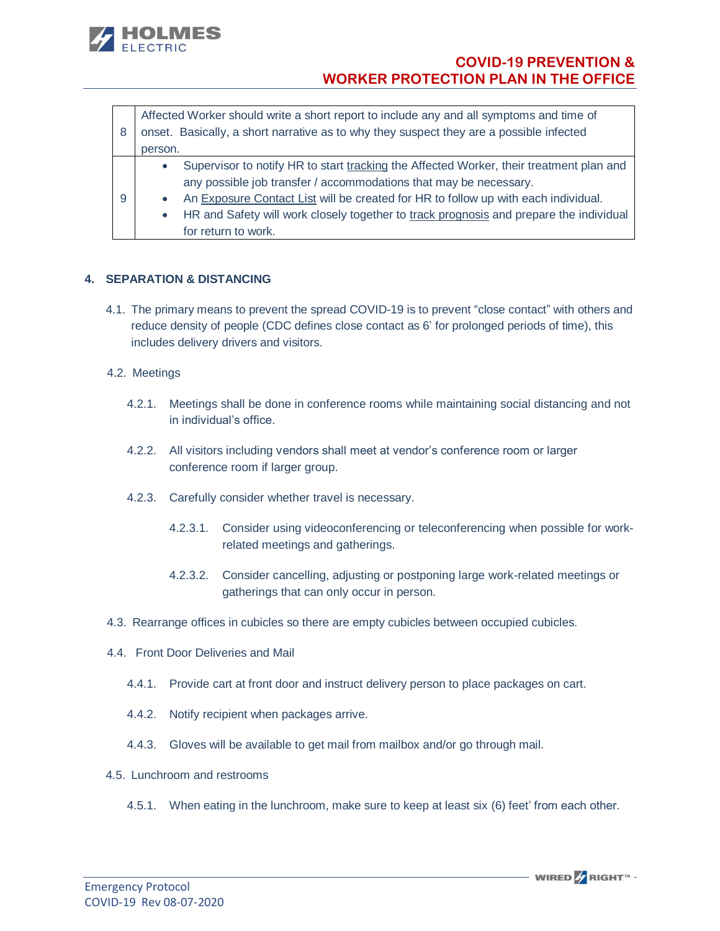

|   | Affected Worker should write a short report to include any and all symptoms and time of |                                                                                         |  |
|---|-----------------------------------------------------------------------------------------|-----------------------------------------------------------------------------------------|--|
| 8 |                                                                                         | onset. Basically, a short narrative as to why they suspect they are a possible infected |  |
|   | person.                                                                                 |                                                                                         |  |
|   | $\bullet$                                                                               | Supervisor to notify HR to start tracking the Affected Worker, their treatment plan and |  |
| 9 |                                                                                         | any possible job transfer / accommodations that may be necessary.                       |  |
|   | $\bullet$                                                                               | An Exposure Contact List will be created for HR to follow up with each individual.      |  |
|   | $\bullet$                                                                               | HR and Safety will work closely together to track prognosis and prepare the individual  |  |
|   |                                                                                         | for return to work.                                                                     |  |

# **4. SEPARATION & DISTANCING**

4.1. The primary means to prevent the spread COVID-19 is to prevent "close contact" with others and reduce density of people (CDC defines close contact as 6' for prolonged periods of time), this includes delivery drivers and visitors.

### 4.2. Meetings

- 4.2.1. Meetings shall be done in conference rooms while maintaining social distancing and not in individual's office.
- 4.2.2. All visitors including vendors shall meet at vendor's conference room or larger conference room if larger group.
- 4.2.3. Carefully consider whether travel is necessary.
	- 4.2.3.1. Consider using videoconferencing or teleconferencing when possible for workrelated meetings and gatherings.
	- 4.2.3.2. Consider cancelling, adjusting or postponing large work-related meetings or gatherings that can only occur in person.
- 4.3. Rearrange offices in cubicles so there are empty cubicles between occupied cubicles.
- 4.4. Front Door Deliveries and Mail
	- 4.4.1. Provide cart at front door and instruct delivery person to place packages on cart.
	- 4.4.2. Notify recipient when packages arrive.
	- 4.4.3. Gloves will be available to get mail from mailbox and/or go through mail.
- 4.5. Lunchroom and restrooms
	- 4.5.1. When eating in the lunchroom, make sure to keep at least six (6) feet' from each other.

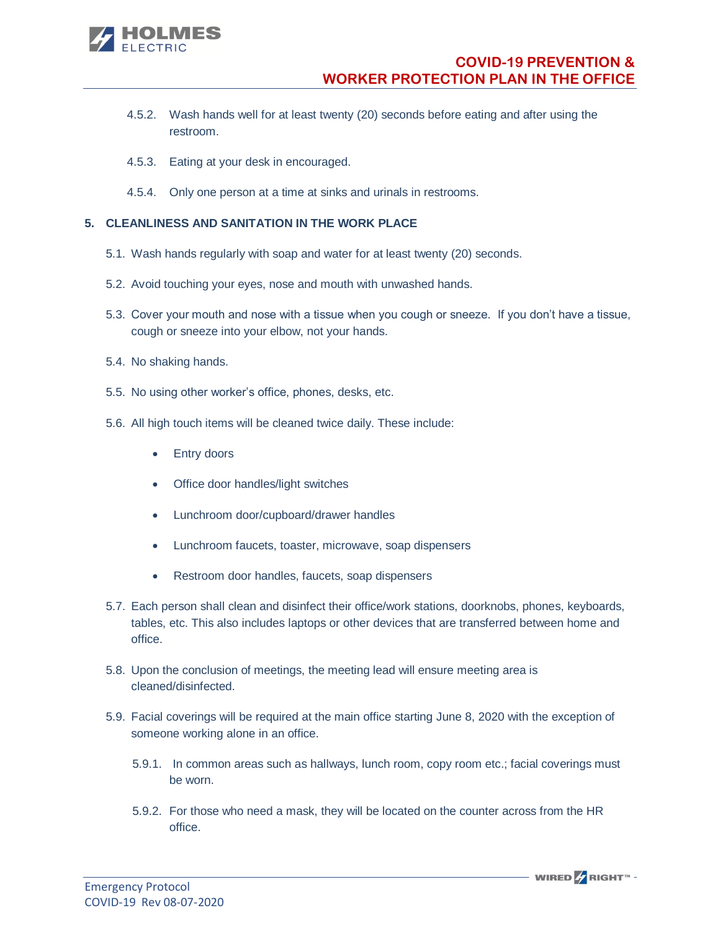

- 4.5.2. Wash hands well for at least twenty (20) seconds before eating and after using the restroom.
- 4.5.3. Eating at your desk in encouraged.
- 4.5.4. Only one person at a time at sinks and urinals in restrooms.

# **5. CLEANLINESS AND SANITATION IN THE WORK PLACE**

- 5.1. Wash hands regularly with soap and water for at least twenty (20) seconds.
- 5.2. Avoid touching your eyes, nose and mouth with unwashed hands.
- 5.3. Cover your mouth and nose with a tissue when you cough or sneeze. If you don't have a tissue, cough or sneeze into your elbow, not your hands.
- 5.4. No shaking hands.
- 5.5. No using other worker's office, phones, desks, etc.
- 5.6. All high touch items will be cleaned twice daily. These include:
	- Entry doors
	- Office door handles/light switches
	- Lunchroom door/cupboard/drawer handles
	- Lunchroom faucets, toaster, microwave, soap dispensers
	- Restroom door handles, faucets, soap dispensers
- 5.7. Each person shall clean and disinfect their office/work stations, doorknobs, phones, keyboards, tables, etc. This also includes laptops or other devices that are transferred between home and office.
- 5.8. Upon the conclusion of meetings, the meeting lead will ensure meeting area is cleaned/disinfected.
- 5.9. Facial coverings will be required at the main office starting June 8, 2020 with the exception of someone working alone in an office.
	- 5.9.1. In common areas such as hallways, lunch room, copy room etc.; facial coverings must be worn.
	- 5.9.2. For those who need a mask, they will be located on the counter across from the HR office.